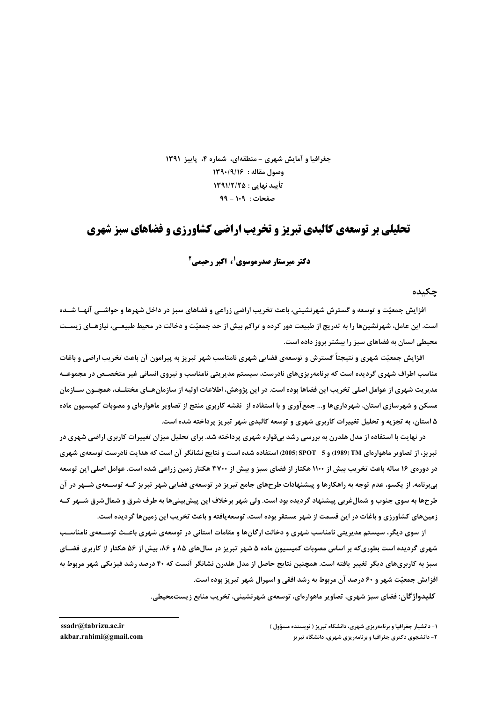جغرافیا و آمایش شهری – منطقهای، شماره ۴، پاییز ۱۳۹۱ **1390** وصول مقاله : 1391/16 **1391/2/25 : () \*+, 99 - 109 : /01\$**

## **تحلیلی بر توسعهی کالبدی تبریز و تخریب اراضی کشاورزی و فضاهای سبز شهری**

**53 لا تو میرستار صدرموسوی کی اکتر رحیمی آ** 

حکىدە

افزایش جمعیّت و توسعه و گسترش شهرنشینی، باعث تخریب اراضی زراعی و فضاهای سبز در داخل شهرها و حواشــی آنهـا شــده است. این عامل، شهرنشینها را به تدریج از طبیعت دور کرده و تراکم بیش از حد جمعیّت و دخالت در محیط طبیعـی، نیازهـای زیسـت هحیطی انسان به فضاهای سبز را بیشتر بروز داده است.

افزایش جمعیّت شهری و نتیجتا گسترش و توسعهی فضایی شهری نامناسب شهر تبریز به پیرامون آن باعث تخریب اراضی و باغات هناسب اطراف شهری گردیده است که برنامهریزیهای نادرست، سیستم مدیریتی نامناسب و نیروی انسانی غیر متخصـص در مجموعــه مدیریت شهری از عوامل اصلی تخریب این فضاها بوده است. در این پژوهش، اطلاعات اولیه از سازمانهـای مختلـف، همچــون ســازمان مسکن و شهرسازی استان، شهرداریها و… جمعآوری و با استفاده از نقشه کاربری منتج از تصاویر ماهوارهای و مصوبات کمیسیون ماده **۵** استان، به تجزیه و تحلیل تغییرات کاربری شهری و توسعه کالبدی شهر تبریز پرداخته شده است.

در نهایت با استفاده از مدل هلدرن به بررسی رشد بیقواره شهری پرداخته شد. برای تحلیل میزان تغییرات کاربری اراضی شهری در تبریز، از تصاویر ماهوارهای TM (1989) و 5 SPOT) SPOT) استفاده شده است و نتایج نشانگر آن است که هدایت نادرست توسعهی شهری در دورهی ۱۶ ساله باعث تخریب بیش از ۱۱۰۰ هکتار از فضای سبز و بیش از ۳۷۰۰ هکتار زمین زراعی شده است. عوامل اصلی این توسعه بیبرنامه، از یکسو، عدم توجه به راهکارها و پیشنهادات طرحهای جامع تبریز در توسعهی فضایی شهر تبریز کــه توســعهی شــهر در آن طرحها به سوی جنوب و شمالغربی پیشنهاد گردیده بود است. ولی شهر برخلاف این پیشبینیها به طرف شرق و شمالشرق شــهر کــه زمینهای کشاورزی و باغات در این قسمت از شهر مستقر بوده است، توسعهیافته و باعث تخریب این زمینها گردیده است.

از سوی دیگر، سیستم مدیریتی نامناسب شهری و دخالت ارگانها و مقامات استانی در توسعهی شهری باعـث توســعهی نامناســب شهری گردیده است بطوریکه بر اساس مصوبات کمیسیون ماده ۵ شهر تبریز در سالهای ۸۵ و ۸۶، بیش از ۵۶ هکتار از کاربری فضـای سبز به کاربریهای دیگر تغییر یافته است. همچنین نتایج حاصل از مدل هلدرن نشانگر آنست که ۴۰ درصد رشد فیزیکی شهر مربوط به افزایش جمعیّت شهر و ۶۰ درصد آن مربوط به رشد افقی و اسپرال شهر تبریز بوده است.

**كليدواژگان: فضاي سبز شهري، تصاوير ماهوارهاي، توسعهي شهرنشيني، تخريب منابع زيستمحيطي.** 

 $akbar.random$  *(algmail.com*)

**ssadr@tabrizu.ac.ir ( "nI \*I#) ) <, cF); - - )E F); -1**

**۲**- دانشجوی دکتری جغرافیا و برنامهریزی شهر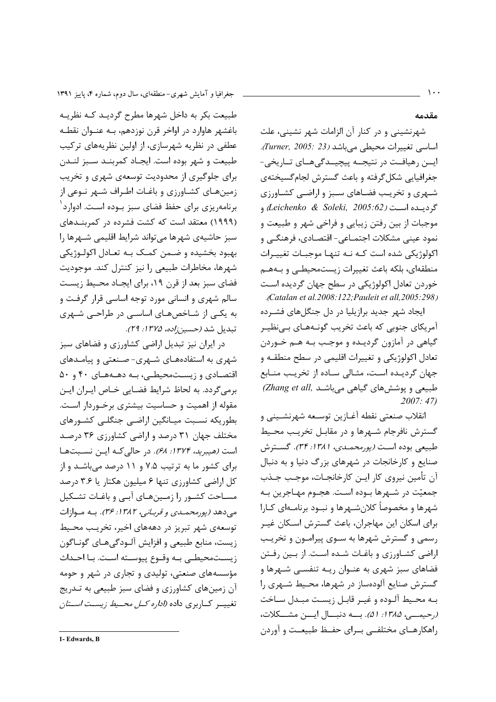طبیعت بکر به داخل شهرها مطرح گردیـد کـه نظریـه باغشهر هاوارد در اواخر قرن نوزدهم، بـه عنــوان نقطــه عطفی در نظریه شهرسازی، از اولین نظریههای ترکیب طبيعت و شهر بوده است. ايجـاد كمربنــد ســبز لنــدن برای جلوگیری از محدودیت توسعهی شهری و تخریب زمینهای کشاورزی و باغات اطراف شـهر نـوعی از برنامهریزی برای حفظ فضای سبز بــوده اسـت. ادوارد<sup>۱</sup> (۱۹۹۹) معتقد است که کشت فشرده در کمربنـدهای سبز حاشیهی شهرها میتواند شرایط اقلیمی شهرها را بهبود بخشيده و ضـمن كمـك بـه تعـادل اكولـوژيكي شهرها، مخاطرات طبیعی را نیز کنترل کند. موجودیت فضای سبز بعد از قرن ۱۹، برای ایجـاد محـیط زیسـت سالم شهری و انسانی مورد توجه اساسی قرار گرفت و به یکی از شاخصهای اساسی در طراحی شهری تبديل شد *(حسين;اده، ١٣٧۵: ٢٩).* 

در ایران نیز تبدیل اراضی کشاورزی و فضاهای سبز شهری به استفادههـای شـهری- صـنعتی و پیامـدهای اقتصادی و زیستمحیطے، به دهـههـای ۴۰ و ۵۰ برمی گردد. به لحاظ شرایط فضایی خـاص ایـران ایـن مقوله از اهمیت و حساسیت بیشتری برخـوردار اسـت. بطوريكه نسبت ميـانگين اراضـي جنگلـي كشـورهاي مختلف جهان ۳۱ درصد و اراضی کشاورزی ۳۶ درصد است (هيبريد، ١٣٧۴: ۶۸). در حالي كـه ايــن نسـبتهـا برای کشور ما به ترتیب ۷.۵ و ۱۱ درصد میباشد و از کل اراضی کشاورزی تنها ۶ میلیون هکتار یا ۳.۶ درصد مسـاحت کشـور را زمـینهـای آبـی و باغـات تشـکیل می دهد *(پورمحملدی و قربانی، ۱۳۸۲: ۳۶).* به موازات توسعهی شهر تبریز در دهههای اخیر، تخریب محیط زيست، منابع طبيعي و افزايش آلـودگي هـاي گونـاگون زيستمحيطي به وقوع ييوسته است. با احداث مؤسسههای صنعتی، تولیدی و تجاری در شهر و حومه آن زمینهای کشاورزی و فضای سبز طبیعی به تـدریج تغییــر کــاربری داده *(اداره کــل محــیط زیسـت اســتان* 

مقدمه

شهرنشینی و در کنار آن الزامات شهر نشینی، علت اساسی تغییرات محیطی میباشد (Turner, 2005: 23). ايــن رهيافــت در نتيجــه پيچيــدگي@ــاي تــاريخي-جغرافیایی شکل گرفته و باعث گسترش لجام گسیختهی شـهری و تخریـب فضـاهای سـبز و اراضـی کشـاورزی گرديبده است (Leichenko & Soleki, 2005:62) و موجبات از بين رفتن زيبايي و فراخي شهر و طبيعت و نمود عيني مشكلات اجتمـاعي- اقتصـادي، فرهنگـي و اکولوژیکی شده است کـه نـه تنهـا موجبـات تغییـرات منطقهای، بلکه باعث تغییرات زیستمحیطے و بـههـم خوردن تعادل اکولوژیکی در سطح جهان گردیده است .Catalan et al.2008:122; Pauleit et all.2005:298).

ایجاد شهر جدید برازیلیا در دل جنگلهای فشـرده آمریکای جنوبی که باعث تخریب گونـههـای بـی;ظیـر گیاهی در آمازون گردیـده و موجـب بـه هـم خـوردن تعادل اکولوژیکی و تغییرات اقلیمی در سطح منطقـه و جهان گردیـده اسـت، مثـالی سـاده از تخریـب منـابع (Zhang et all, طبیعی و پوشش های گیاهی میباشد  $.2007:47$ 

انقلاب صنعتي نقطه آغـازين توسـعه شهرنشـيني و گسترش نافرجام شـهرها و در مقابـل تخريـب محـيط طبيعي بوده است (پورمحمدي، ١٣/١: ٣۴). گسترش صنایع و کارخانجات در شهرهای بزرگ دنیا و به دنبال آن تأمين نيروي كار ايـن كارخانجـات، موجـب جـذب جمعيّت در شـهرها بـوده اسـت. هجـوم مهـاجرين بـه شهرها و مخصوصاً کلان شــهرها و نبــود برنامــهای کــارا برای اسکان این مهاجران، باعث گسترش اسکان غیـر رسمی و گسترش شهرها به سـوی پیرامـون و تخریـب اراضی کشاورزی و باغـات شـده اسـت. از بـین رفـتن فضاهای سبز شهری به عنـوان ریـه تنفسـی شـهرها و گسترش صنایع آلودهساز در شهرها، محیط شـهری را بـه محـيط آلـوده و غيـر قابـل زيسـت مبـدل سـاخت (رحيمهي، ١٣٨٥: ۵١). بــه دنبــال ايـــن مشــكلات، راهکارهـای مختلفــی بــرای حفــظ طبیعــت و آوردن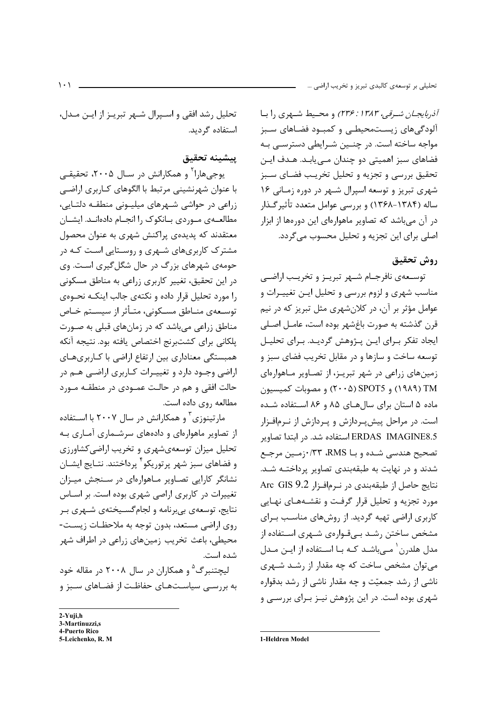آذربایجان شیرقی، ۲۳۶: ۱۳۸۳) و محیط شیهری ۱٫ بیا آلودگیهای زیستمحیطے و کمبود فضاهای سبز مواجه ساخته است. در چنـین شـرایطی دسترسـی بـه فضاهای سبز اهمیتی دو چندان مے پابـد. هـدف ایـن تحقيق بررسي و تجزيه و تحليل تخريب فضاي سبز شهری تبریز و توسعه اسپرال شهر در دوره زمانی ۱۶ ساله (۱۳۸۴–۱۳۶۸) و بررسی عوامل متعدد تأثیر گــذار در آن میباشد که تصاویر ماهوارهای این دورهها از ابزار اصلي براي اين تجزيه و تحليل محسوب مي گردد.

#### روش تحقيق

توسـعهى نافرجـام شـهر تبريـز و تخريـب اراضـي مناسب شهری و لزوم بررسی و تحلیل ایـن تغییـرات و عوامل مؤثر بر آن، در کلانشهری مثل تبریز که در نیم قرن گذشته به صورت باغشهر بوده است، عامــل اصـلى ایجاد تفکر بـرای ایـن پـژوهش گردیـد. بـرای تحلیـل توسعه ساخت و سازها و در مقابل تخریب فضای سبز و زمینهای زراعی در شهر تبریـز، از تصـاویر مـاهوارهای TM (١٩٨٩) و SPOT5 (٢٠٠۵) و مصوبات كميسيون ماده ۵ استان برای سالهای ۸۵ و ۸۶ استفاده شده است. در مراحل پیشپردازش و پـردازش از نـرمافـزار ERDAS IMAGINE8.5 استفاده شد. در ابتدا تصاویر تصحيح هندسي شـده و بــا RMS، ٢٣/ •زمـين مرجـع شدند و در نهایت به طبقهبندی تصاویر پرداختـه شـد. نتايج حاصل از طبقهبندي در نرمافزار Arc GIS 9.2 مورد تجزیه و تحلیل قرار گرفت و نقشـههـای نهـایی کاربری اراضی تهیه گردید. از روشهای مناسب بـرای مشخص ساختن رشـد بــیقـوارەی شــهری اسـتفاده از مدل هلدرن ` مے باشـد کـه بـا اسـتفاده از ایـن مـدل می توان مشخص ساخت که چه مقدار از رشـد شـهری ناشی از رشد جمعیّت و چه مقدار ناشی از رشد بدقواره شهری بوده است. در این پژوهش نیـز بـرای بررسـی و

تحلیل رشد افقی و اسـپرال شـهر تبریـز از ایـن مـدل، استفاده گردید.

## يبشينه تحقيق

یوجیهارا<sup>۲</sup> و همکارانش در سـال ۲۰۰۵، تحقیقـی با عنوان شهرنشینی مرتبط با الگوهای کـاربری اراضـی زراعی در حواشی شهرهای میلیونی منطقه دلتایی، مطالعهى موردى بانكوك را انجـام دادهانـد. ايشـان معتقدند که پدیدهی پراکنش شهری به عنوان محصول مشترک کاربریهای شـهری و روسـتایی اسـت کـه در حومهی شهرهای بزرگ در حال شگل گیری است. وی در این تحقیق، تغییر کاربری زراعی به مناطق مسکونی را مورد تحلیل قرار داده و نکتهی جالب اینکـه نحـوهی توسـعهى منــاطق مسـكوني، متــأثر از سيســتم خــاص مناطق زراعی میباشد که در زمانهای قبلی به صورت یلکانی برای کشتبرنج اختصاص یافته بود. نتیجه آنکه همبستگی معناداری بین ارتفاع اراضی با کـاربریهـای اراضي وجـود دارد و تغييـرات كـاربري اراضـي هـم در حالت افقی و هم در حالت عمـودی در منطقـه مـورد مطالعه روی داده است.

مارتینوزی <sup>۳</sup> و همکارانش در سال ۲۰۰۷ با اسـتفاده از تصاویر ماهوارهای و دادههای سرشـماری آمـاری بـه تحلیل میزان توسعهیشهری و تخریب اراضی کشاورزی و فضاهای سبز شهر پرتوریکو ٔ پرداختند. نتـایج ایشــان نشانگر کارایی تصاویر ماهوارهای در سنجش میزان تغییرات در کاربری اراصی شهری بوده است. بر اسـاس نتايج، توسعهي بي برنامه و لجام گسـيختهي شـهري بـر روی اراضی مستعد، بدون توجه به ملاحظـات زیسـت-محیطی، باعث تخریب زمینهای زراعی در اطراف شهر شده است.

لیچتنبر گ<sup>۵</sup> و همکاران در سال ۲۰۰۸ در مقاله خود به بررسی سیاستهای حفاظت از فضاهای سبز و

 $2-Y$ uji,h 3-Martinuzzi.s 4-Puerto Rico

5-Leichenko, R. M

1-Heldren Model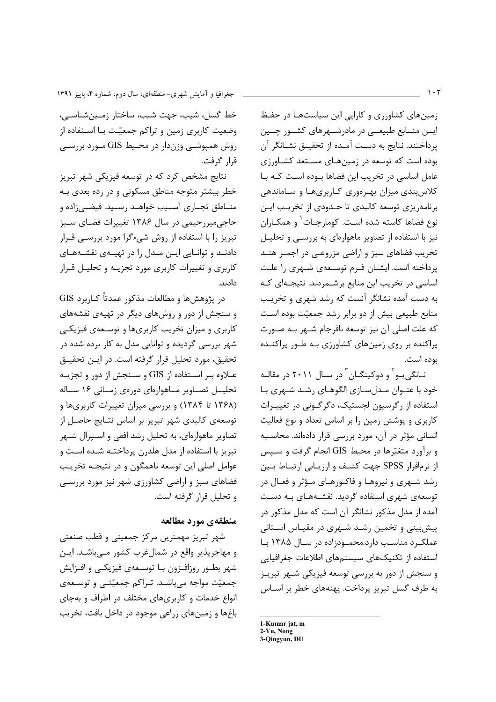خط گسل، شیب، جهت شیب، ساختار زمین شناسے، وضعیت کاربری زمین و تراکم جمعیّت بـا اسـتفاده از روش همیوشــی وزندار در محـیط GIS مــورد بررســی قرا, گرفت.

نتایج مشخص کرد که در توسعه فیزیکی شهر تبریز خطر بیشتر متوجه مناطق مسکونی و در رده بعدی بـه منــاطق تجــاري آســيب خواهــد رســيد. فيضــي;اده و حاجی میررحیمی در سال ۱۳۸۶ تغییرات فضای سبز تبریز را با استفاده از روش شیءگرا مورد بررسـی قــرار دادنـد و توانـايي ايـن مـدل را در تهيـهي نقشـههـاي کاربری و تغییرات کاربری مورد تجزیـه و تحلیـل قـرار دادند.

در پژوهش&ا و مطالعات مذکور عمدتاً کـاربرد GIS و سنجش از دور و روشهای دیگر در تهیهی نقشههای کاربری و میزان تخریب کاربریها و توسـعهی فیزیکـی شهر بررسی گردیده و توانایی مدل به کار برده شده در تحقيق، مورد تحليل قرار گرفته است. در ايـن تحقيـق عـلاوه بـر اسـتفاده از GIS و سـنجش از دور و تجزیـه تحلیــل تصــاویر مــاهوارمای دورهی زمــانی ۱۶ ســاله (۱۳۶۸ تا ۱۳۸۴) و بررسی میزان تغییرات کاربریها و توسعهی کالبدی شهر تبریز بر اساس نتـایج حاصـل از تصاویر ماهوارهای، به تحلیل رشد افقی و اسـپرال شـهر تبریز با استفاده از مدل هلدرن پرداختـه شـده اسـت و عوامل اصلی این توسعه ناهمگون و در نتیجـه تخریـب فضاهای سبز و اراضی کشاورزی شهر نیز مورد بررسبی و تحليل قرار گرفته است.

#### منطقهى مورد مطالعه

شهر تبریز مهمترین مرکز جمعیتی و قطب صنعتی و مهاجريذير واقع در شمالءُرب كشور مے باشـد. ايـن شهر بطـور روزافـزون بـا توسـعهى فيزيكـي و افـزايش جمعیّت مواجه می باشـد. تـراکم جمعیّتـی و توسـعهی انواع خدمات و کاربریهای مختلف در اطراف و بهجای باغها و زمینهای زراعی موجود در داخل بافت، تخریب زمینهای کشاورزی و کارایی این سیاستها در حفظ ایسن منسابع طبیعتی در مادرشتهرهای کشتور چنین پرداختند. نتایج به دست آمـده از تحقیـق نشـانگر آن بوده است که توسعه در زمینهای مستعد کشاورزی عامل اساسی در تخریب این فضاها بوده است که با کلاس بندی میزان بهرهوری کاربریها و ساماندهی برنامهریزی توسعه کالبدی تا حـدودی از تخریـب ایـن نوع فضاها كاسته شده است. كومارجـات ٰ و همكـاران نیز با استفاده از تصاویر ماهوارهای به بررسـی و تحلیـل تخریب فضاهای سبز و اراضی مزروعـی در اجمـر هنـد پرداخته است. ایشـان فـرم توسـعهى شـهرى را علـت اساسی در تخریب این منابع برشـمردند. نتیجـهای کـه به دست آمده نشانگر آنست که رشد شهری و تخریب منابع طبیعی بیش از دو برابر رشد جمعیّت بوده است كه علت اصلي آن نيز توسعه نافرجام شـهر بـه صـورت پراکنده بر روی زمینهای کشاورزی بـه طـور پراکنـده بوده است.

نــانگی یــو<sup>۲</sup> و دوکینگــان<sup>۳</sup> در ســال ۲۰۱۱ در مقالــه خود با عنـوان مـدل سـازی الگوهـای رشـد شـهری بـا استفاده از رگرسیون لجستیک، دگرگونی در تغییـرات کاربری و پوشش زمین را بر اساس تعداد و نوع فعالیت انسانی مؤثر در آن، مورد بررسی قرار دادهاند. محاسـبه و برآورد متغیّرها در محیط GIS انجام گرفت و سـیس از نرمافزار SPSS جهت کشف و ارزیـابی ارتبـاط بـین رشد شـهري و نيروهـا و فاكتورهـاي مـؤثر و فعـال در توسعه ی شهری استفاده گردید. نقشـههـای بـه دسـت آمده از مدل مذکور نشانگر آن است که مدل مذکور در پیشبینی و تخمین رشد شهری در مقیاس استانی عملک و مناسب دارد.محمودزاده در سال ۱۳۸۵ با استفاده از تکنیکهای سیستمهای اطلاعات جغرافیایی و سنجش از دور به بررسی توسعه فیزیکی شـهر تبریـز به طرف گسل تبریز پرداخت. پهنههای خطر بر اسـاس

1-Kumar jat, m 2-Yu, Nong 3-Qingyun, DU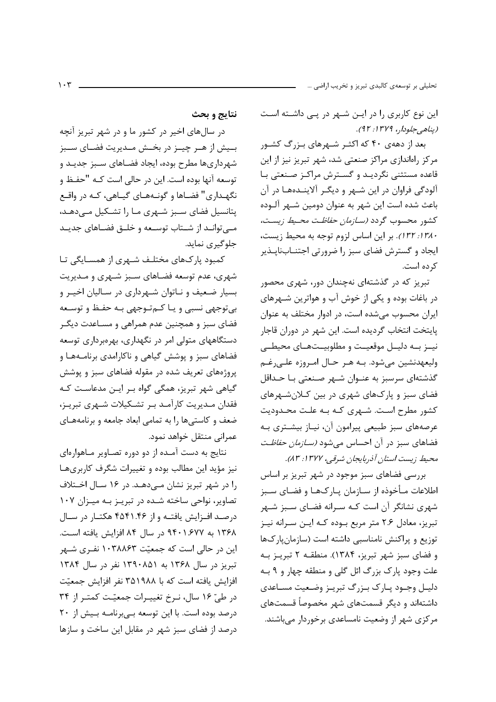تحليلي بر توسعهي كالبدي تبريز و تخريب اراضي ...

این نوع کاربری را در ایـن شـهر در پـی داشـته اسـت (پناھے جلودار، ۱۳۷۹: ۹۲).

بعد از دههی ۴۰ که اکثـر شـهرهای بـزرگ کشـور مرکز راهاندازی مراکز صنعتی شد، شهر تبریز نیز از این قاعده مستثنی نگردیـد و گسـترش مراکـز صـنعتی بـا آلودگی فراوان در این شـهر و دیگـر آلاینــدههـا در آن باعث شده است این شهر به عنوان دومین شـهر آلـوده كشور محسوب گردد *(ســازمان حفاظـت محـيط زيسـت،* ١٣٨٠: ١٣٢). بر اين اساس لزوم توجه به محيط زيست، ایجاد و گسترش فضای سبز را ضرورتی اجتنــابناپــذیر کر ده است.

تبریز که در گذشتهای نهچندان دور، شهری محصور در باغات بوده و یکی از خوش آب و هواترین شـهرهای ایران محسوب می شده است، در ادوار مختلف به عنوان پایتخت انتخاب گردیده است. این شهر در دوران قاجار نيـز بـه دليـل موقعيـت و مطلوبيـتهـاى محيطـى وليعهدنشين ميشود. بـه هـر حـال امـروزه علـيرغـم گذشتهای سرسبز به عنـوان شـهر صـنعتی بـا حـداقل فضای سبز و پارکهای شهری در بین کـلانشـهرهای كشور مطرح است. شـهري كـه بـه علـت محـدوديت عرصههای سبز طبیعی پیرامون آن، نیـاز بیشـتری بـه فضاهای سبز در آن احساس می شود *(سـازمان حفاظـت* محيط زيست استان آذربايجان شرقي، ١٣٧٧: ٨٣).

بررسی فضاهای سبز موجود در شهر تبریز بر اساس اطلاعات مـأخوذه از سـازمان يـاركـهـا و فضـاي سـبز شهری نشانگر آن است کـه سـرانه فضـای سـبز شـهر تبریز، معادل ٢.۶ متر مربع بوده کـه ایـن سـرانه نیـز توزیع و پراکنش نامناسبی داشته است (سازمان پارکها و فضای سبز شهر تبریز، ۱۳۸۴). منطقـه ۲ تبریـز بـه علت وجود یارک بزرگ ائل گلی و منطقه چهار و ۹ بـه دلیـل وجـود پـارک بـزرگ تبریـز وضـعیت مسـاعدی داشتهاند و دیگر قسمتهای شهر مخصوصاً قسمتهای مرکزی شهر از وضعیت نامساعدی برخوردار میباشند.

نتايج و بحث

در سالهای اخیر در کشور ما و در شهر تبریز آنچه بـيش از هــر چيــز در بخــش مــديريت فضــاى ســبز شهرداریها مطرح بوده، ایجاد فضـاهای سـبز جدیـد و توسعه آنها بوده است. این در حالی است کـه "حفـظ و نگهـداري" فضـاها و گونـههـاي گيـاهي، كـه در واقـع پتانسیل فضای سبز شهری مـا را تشـكیل مـیدهـد، مـــ توانــد از شــتاب توســعه و خلــق فضــاهاى جديــد جلوگیری نماید.

کمبود یا کهای مختلـف شـهری از همسـایگی تـا شهری، عدم توسعه فضاهای سبز شـهری و مـدیریت بسیار ضعیف و نـاتوان شـهرداری در سـالیان اخیـر و بي توجهي نسبي و يـا كـمتـوجهي بـه حفـظ و توسـعه فضای سبز و همچنین عدم همراهی و مسـاعدت دیگـر دستگاههای متولی امر در نگهداری، بهرهبرداری توسعه فضاهای سبز و پوشش گیاهی و ناکارامدی برنامـههـا و پروژههای تعریف شده در مقوله فضاهای سبز و پوشش گیاهی شهر تبریز، همگی گواه بـر ایـن مدعاسـت کـه فقدان مـديريت كارآمـد بـر تشـكيلات شـهرى تبريـز، ضعف و كاستى ها را به تمامى ابعاد جامعه و برنامههاى عمراني منتقل خواهد نمود.

نتايج به دست آمـده از دو دوره تصـاوير مـاهوارهاي نیز مؤید این مطالب بوده و تغییرات شگرف کاربریها را در شهر تبریز نشان مهدهد. در ۱۶ سـال اخـتلاف تصاویر، نواحی ساخته شـده در تبریـز بـه میـزان ۱۰۷ درصد افزایش یافتـه و از ۴۵۴۱.۴۶ هکتـار در سـال ۱۳۶۸ به ۹۴۰۱.۶۷۷ در سال ۸۴ افزایش یافته است. این در حالی است که جمعیّت ۱۰۳۸۸۶۳ نفـری شـهر تبریز در سال ۱۳۶۸ به ۱۳۹۰۸۵۱ نفر در سال ۱۳۸۴ افزایش یافته است که با ۳۵۱۹۸۸ نفر افزایش جمعیّت در طيّ ١۶ سال، نـرخ تغييـرات جمعيّت كمتـر از ٣۴ درصد بوده است. با این توسعه به برنامه بهش از ٢٠ درصد از فضای سبز شهر در مقابل این ساخت و سازها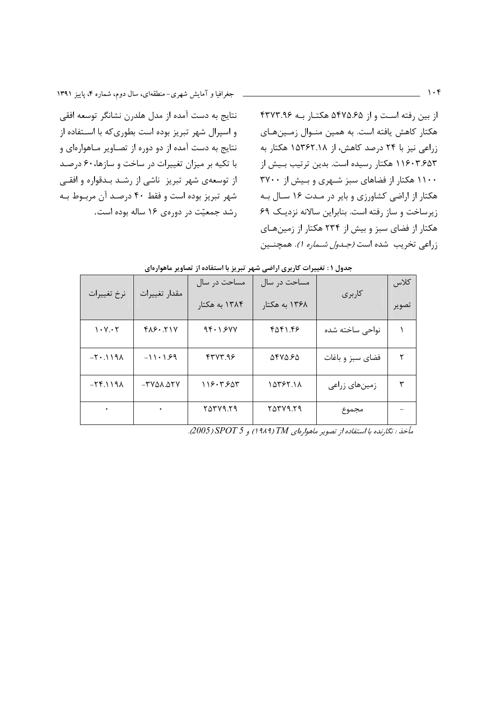نتايج به دست آمده از مدل هلدرن نشانگر توسعه افقى و اسپرال شهر تبریز بوده است بطوری که با اسـتفاده از نتایج به دست آمده از دو دوره از تصاویر مـاهوارهای و با تکیه بر میزان تغییرات در ساخت و سازها، ۶۰ درصد از توسعهی شهر تبریز ناشی از رشد بـدقواره و افقـی شهر تبریز بوده است و فقط ۴۰ درصد آن مربوط بـه رشد جمعیّت در دورهی ۱۶ ساله بوده است.

از بین رفته است و از ۵۴۷۵.۶۵ هکتار بـه ۴۳۷۳.۹۶ هکتار کاهش یافته است. به همین منـوال زمـینهـای زراعی نیز با ۲۴ درصد کاهش، از ۱۵۳۶۲.۱۸ هکتار به ١١۶٠٣.۶۵۳ هكتار رسيده است. بدين ترتيب بـيش از ۱۱۰۰ هکتار از فضاهای سبز شـهری و بـیش از ۳۷۰۰ هکتار از اراضی کشاورزی و بایر در مـدت ۱۶ سـال بـه زیرساخت و ساز رفته است. بنابراین سالانه نزدیک ۶۹ هکتار از فضای سبز و بیش از ۲۳۴ هکتار از زمینهای زراعي تخريب شده است *(جـدول شـماره ۱). همچنـين* 

| جناون ۱ . تعییرات تازیری اراضی سهر تبریز با استعاده از تصاویر شاهواردای |                             |                   |               |                  |       |  |  |  |
|-------------------------------------------------------------------------|-----------------------------|-------------------|---------------|------------------|-------|--|--|--|
| نرخ تغييرات                                                             | مقدار تغييرات               | مساحت در سال      | مساحت در سال  | كاربرى           | كلاس  |  |  |  |
|                                                                         |                             | ۱۳۸۴ به هکتار     | ۱۳۶۸ به هکتار |                  | تصوير |  |  |  |
| 1.1.7                                                                   | $Y \wedge Y \cdot Y \vee Y$ | 95.1.50V          | ۴۵۴۱.۴۶       | نواحي ساخته شده  |       |  |  |  |
| $1911.7 -$                                                              | $-11.99$                    | $f$ r $V$ r. $95$ | 5875.85       | فضای سبز و باغات | ٢     |  |  |  |
| $-55.1191$                                                              | $-4000.084$                 | ۱۱۶۰۳.۶۵۳         | 15867.18      | زمینهای زراعی    | ٣     |  |  |  |
|                                                                         |                             | ۲۵۳۷۹.۲۹          | ۲۵۳۷۹.۲۹      | مجموع            |       |  |  |  |

|  |  |  |  | جدول ۱ : تغییرات کاربری اراضی شهر تبریز با استفاده از تصاویر ماهوارهای |  |  |  |  |  |  |  |  |  |  |  |  |
|--|--|--|--|------------------------------------------------------------------------|--|--|--|--|--|--|--|--|--|--|--|--|
|--|--|--|--|------------------------------------------------------------------------|--|--|--|--|--|--|--|--|--|--|--|--|

.<br>مأخذ : نگارنده با استفاده از تصویر ماهوارهای TM (۱۹۸۹) و 2005/ 2005).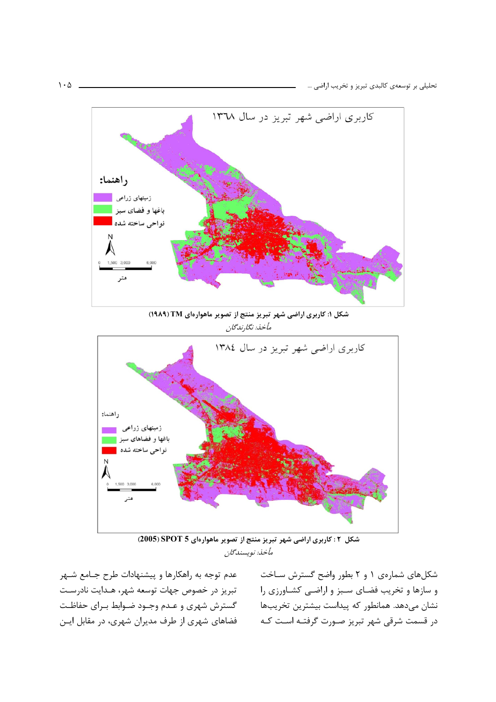

شکل ۲: کاربری اراضی شهر تبریز منتج از تصویر ماهوارهای SPOT 5 (2005) مأخذ: نوپسندگان

تبریز در خصوص جهات توسعه شهر، هـدایت نادرسـت گسترش شهری و عـدم وجـود ضـوابط بـرای حفاظـت فضاهای شهری از طرف مدیران شهری، در مقابل ایــن

و سازها و تخریب فضای سـبز و اراضـی کشـاورزی را نشان میدهد. همانطور که پیداست بیشترین تخریبها در قسمت شرقی شهر تبریز صـورت گرفتـه اسـت کـه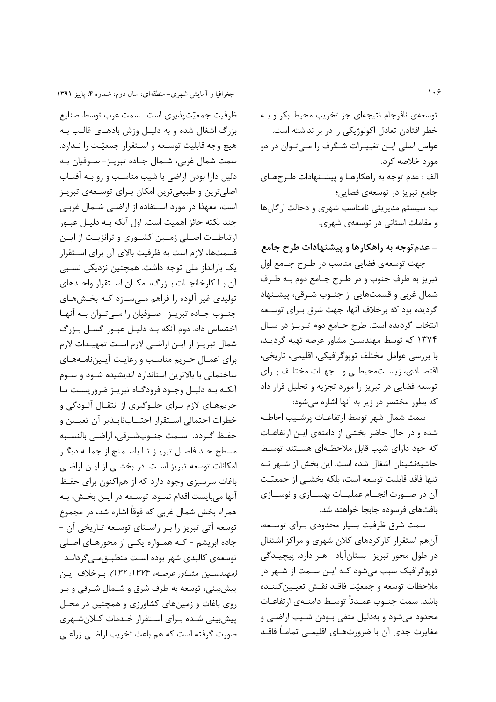ظرفيت جمعيّتيذيري است. سمت غرب توسط صنايع بزرگ اشغال شده و به دلیـل وزش بادهـای غالـب بـه هيچ وجه قابليت توسـعه و اسـتقرار جمعيّـت را نـدارد. سمت شمال غربی، شـمال جـاده تبریـز- صـوفیان بـه دلیل دارا بودن اراضی با شیب مناسب و رو بـه آفتـاب اصلیترین و طبیعیترین امکان برای توسعهی تبریـز است، معهذا در مورد استفاده از اراضـی شـمال غربـی چند نکته حائز اهمیت است. اول آنکه بـه دلیـل عبـور ارتباطـات اصـلى زمـين كشـورى و ترانزيـت از ايـن قسمتها، لازم است به ظرفیت بالای آن برای استقرار یک بارانداز ملی توجه داشت. همچنین نزدیکی نسـبی آن بـا كارخانجـات بـزرگ، امكـان اسـتقرار واحـدهاى تولیدی غیر آلوده را فراهم مے سازد کـه بخـشهـای جنــوب جــاده تبريــز- صــوفيان را مــىتــوان بــه آنهــا اختصاص داد. دوم آنکه بـه دلیـل عبـور گسـل بـزرگ شمال تبريـز از ايـن اراضـي لازم اسـت تمهيـدات لازم برای اعمـال حـریم مناسـب و رعایـت آیـیننامـههـای ساختمانی با بالاترین استاندارد اندیشیده شـود و سـوم آنکـه بـه دليـل وجـود فرودگـاه تبريـز ضروريسـت تـا حریمهای لازم بـرای جلـوگیری از انتقـال آلـودگی و خطرات احتمالي استقرار اجتنـابناپـذير آن تعيـين و حفـظ گـردد. سـمت جنـوبشـرقي، اراضـي بالنسـبه مسطح حـد فاصـل تبريـز تـا باسـمنج از جملـه ديگـر امکانات توسعه تبریز است. در بخشـی از ایـن اراضـی باغات سرسبزی وجود دارد که از هماکنون برای حفـظ آنها ميبايست اقدام نمـود. توسـعه در ايـن بخـش، بـه همراه بخش شمال غربي كه فوقاً اشاره شد، در مجموع توسعه آتی تبریز را بر راستای توسعه تاریخی آن -جاده ابریشم - کـه همـواره یکـی از محورهـای اصـلی توسعەي كالبدى شهر بودە است منطبـق،مـى گردانـد (مهندسین مشاور عرصه، ۱۳۷۴: ۱۳۲). ب خلاف این ييش بيني، توسعه به طرف شرق و شــمال شــرقي و بـر روی باغات و زمینهای کشاورزی و همچنین در محل پیش بینی شـده بـرای اسـتقرار خـدمات کـلانشـهری صورت گرفته است که هم باعث تخریب اراضے، زراعے،

توسعهی نافرجام نتیجهای جز تخریب محیط بکر و بـه خطر افتادن تعادل اکولوژیکی را در بر نداشته است. عوامل اصلی ایـن تغییـرات شـگرف را مـیتـوان در دو مورد خلاصه کړد: الف : عدم توجه به راهكارهـا و پیشـنهادات طـرحهـای جامع تبریز در توسعهی فضایی؛ ب: سیستم مدیریتی نامناسب شهری و دخالت ارگانها و مقامات استانی در توسعهی شهری.

## – عدم توجه به راهکارها و پیشنهادات طرح جامع

جهت توسعهي فضايي مناسب در طـرح جـامع اول تبريز به طرف جنوب و در طـرح جـامع دوم بـه طـرف شمال غربی و قسمتهایی از جنوب شـرقی، پیشـنهاد گردیده بود که برخلاف آنها، جهت شرق بـرای توسـعه انتخاب گرديده است. طرح جـامع دوم تبريـز در سـال ۱۳۷۴ که توسط مهندسین مشاور عرصه تهیه گردیـد، با بررسی عوامل مختلف توپوگرافیکی، اقلیمی، تاریخی، اقتصـادی، زیسـتمحیطـی و… جهـات مختلـف بـرای توسعه فضایی در تبریز را مورد تجزیه و تحلیل قرار داد که بطور مختصر در زیر به آنها اشاره میشود:

سمت شمال شهر توسط ارتفاعـات پرشـيب احاطـه شده و در حال حاضر بخشی از دامنهی ایـن ارتفاعـات که خود دارای شیب قابل ملاحظـهای هسـتند توسـط حاشیهنشینان اشغال شده است. این بخش از شــهر نــه تنها فاقد قابليت توسعه است، بلكه بخشــى از جمعيّـت آن در صـورت انجــام عملیــات بهســازی و نوســازی بافتهای فرسوده جابجا خواهند شد.

سمت شرق ظرفیت بسیار محدودی بـرای توسـعه، آنهم استقرار کارکردهای کلان شهری و مراکز اشتغال در طول محور تبریز- بستانآباد- اهـر دارد. پیچیـدگی تويوگرافيک سبب مي شود کـه ايــن ســمت از شــهر در ملاحظات توسعه و جمعيّت فاقـد نقـش تعيـين كننـده باشد. سمت جنــوب عمــدتاً توسـط دامنــهى ارتفاعــات محدود میشود و بهدلیل منفی بودن شـیب اراضـی و مغايرت جدي آن با ضرورتهـاي اقليمـي تمامـاً فاقـد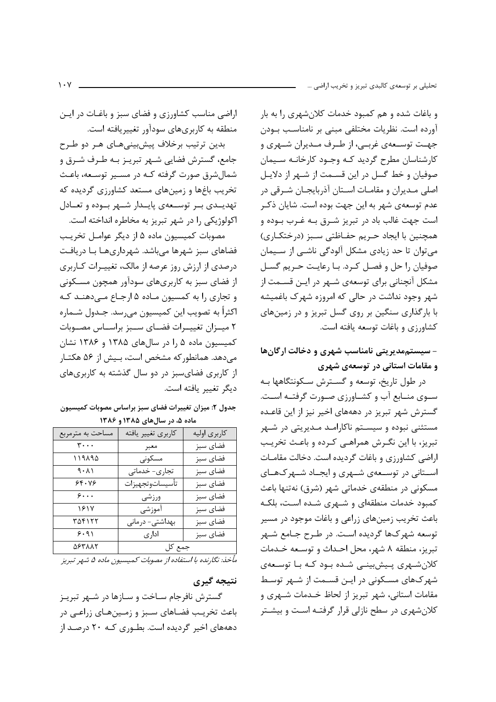و باغات شده و هم کمبود خدمات کلان شهری را به بار آورده است. نظریات مختلفی مبنی بر نامناسب بودن جهـت توسـعهي غربـي، از طـرف مـديران شـهري و کارشناسان مطرح گردید کـه وجـود کارخانـه سـیمان صوفیان و خط گسل در این قسـمت از شـهر از دلایـل اصلی مـدیران و مقامـات اسـتان آذربایجـان شـرقی در عدم توسعهي شهر به اين جهت بوده است. شايان ذكـر است جهت غالب باد در تبریز شـرق بـه غـرب بـوده و همچنین با ایجاد حـریم حفـاظتی سـبز (درختکـاری) می توان تا حد زیادی مشکل آلودگی ناشـبی از سـیمان صوفیان را حل و فصل کرد. با رعایت حریم گسل مشکل آنچنانی برای توسعهی شـهر در ایـن قسـمت از شهر وجود نداشت در حالی که امروزه شهرک باغمیشه با بارگذاری سنگین بر روی گسل تبریز و در زمینهای كشاورزي وباغات توسعه يافته است.

# - سیستممدیریتی نامناسب شهری و دخالت ارگانها و مقامات استانی در توسعهی شهری

در طول تاریخ، توسعه و گسترش سـکونتگاهها بـه سـوى منـابع آب و كشـاورزى صـورت گرفتــه اســت. گسترش شهر تبریز در دهههای اخیر نیز از این قاعـده مستثنی نبوده و سیسـتم ناکارامـد مـدیریتی در شـهر تبریز، با این نگرش همراهی کرده و باعث تخریب اراضی کشاورزی و باغات گردیده است. دخالت مقامات اسـتانی در توسـعهی شـهری و ایجـاد شـهرکـهـای مسکونی در منطقهی خدماتی شهر (شرق) نهتنها باعث کمبود خدمات منطقهای و شـهری شـده اسـت، بلکـه باعث تخریب زمینهای زراعی و باغات موجود در مسیر توسعه شهرکها گردیده است. در طـرح جـامع شـهر تبريز، منطقه ٨ شهر، محل احداث و توسعه خـدمات کلان شـهری پـیش بینـی شـده بـود کـه بـا توسـعهی شهر کهای مسکونی در ایـن قسـمت از شـهر توسـط مقامات استانی، شهر تبریز از لحاظ خـدمات شـهری و کلان شهری در سطح نازلی قرار گرفتـه اسـت و بیشـتر

اراضی مناسب کشاورزی و فضای سبز و باغـات در ایــن منطقه به کاربریهای سودآور تغییریافته است.

بدین ترتیب برخلاف پیشبینیهای هـر دو طـرح جامع، گسترش فضایی شـهر تبریـز بـه طـرف شـرق و شمالشرق صورت گرفته کـه در مسـير توسـعه، باعـث تخریب باغها و زمینهای مستعد کشاورزی گردیده که تهديــدى بــر توســعهى پايــدار شــهر بــوده و تعــادل اکولوژیکی را در شهر تبریز به مخاطره انداخته است.

مصوبات كميسيون ماده ۵ از ديگر عوامـل تخريب فضاهای سبز شهرها میباشد. شهرداریهـا بـا دریافـت درصدی از ارزش روز عرصه از مالک، تغییـرات کـاربری از فضای سبز به کاربریهای سودآور همچون مسـکونی و تجاری را به کمسیون مـاده ۵ ارجـاع مـی دهنــد کــه اکثراً به تصويب اين کميسيون مي٫سد. جـدول شــما٫ه ٢ ميـزان تغييـرات فضـاي سـبز براسـاس مصـوبات کمیسیون ماده ۵ را در سالهای ۱۳۸۵ و ۱۳۸۶ نشان می دهد. همانطور که مشخص است، بیش از ۵۶ هکتـار از کاربری فضای سبز در دو سال گذشته به کاربریهای ديگر تغيير بافته است.

جدول ٢: ميزان تغييرات فضاي سبز براساس مصوبات كميسيون ماده ۵، در سالهای ۱۳۸۵ و ۱۳۸۶

| مساحت به مترمربع | كاربري تغيير يافته | كاربرى اوليه |  |  |  |  |  |
|------------------|--------------------|--------------|--|--|--|--|--|
| ٣٠٠٠             | معبر               | فضاى سبز     |  |  |  |  |  |
| ۱۱۹۸۹۵           | مسكونى             | فضاي سبز     |  |  |  |  |  |
| (1.1)            | تجاری- خدماتی      | فضاى سبز     |  |  |  |  |  |
| ۶۴۰۷۶            | تأسيساتوتجهيزات    | فضاي سبز     |  |  |  |  |  |
|                  | ورزشى              | فضاى سبز     |  |  |  |  |  |
| ۱۶۱۷             | آموزشي             | فضاي سبز     |  |  |  |  |  |
| ۳۵۴۱۲۲           | بهداشتی- درمانی    | فضاي سبز     |  |  |  |  |  |
| 9.91             | اداری              | فضاي سبز     |  |  |  |  |  |
| ۵۶۳۸۸۲           | جمع کل             |              |  |  |  |  |  |

مأخذ: نگارنده با استفاده از مصوبات کمیسیون ماده ۵ شهر تبریز

#### نتيجه گيري

گسترش نافرجام سـاخت و سـازها در شـهر تبريـز باعث تخریـب فضـاهای سـبز و زمـینهـای زراعـی در دهههای اخیر گردیده است. بطـوری کـه ۲۰ درصـد از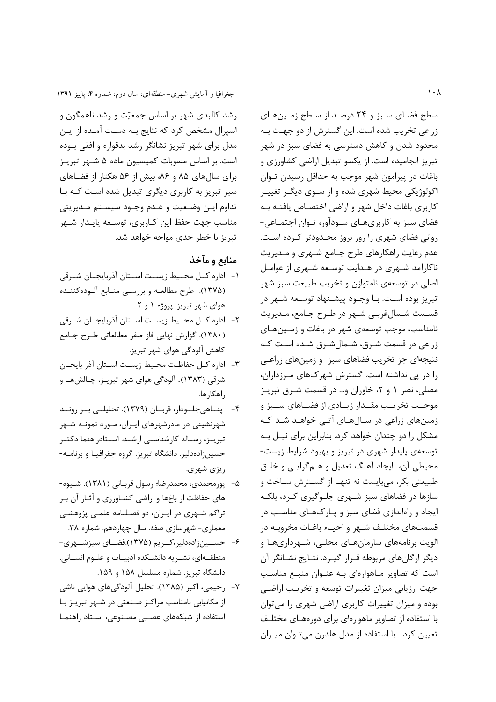سطح فضای سبز و ۲۴ درصد از سطح زمین های زراعی تخریب شده است. این گسترش از دو جهت بـه محدود شدن و کاهش دسترسی به فضای سبز در شهر تبریز انجامیده است. از یکسو تبدیل اراضی کشاورزی و باغات در پیرامون شهر موجب به حداقل رسیدن توان اکولوژیکی محیط شهری شده و از سـوی دیگـر تغییـر كاربري باغات داخل شهر و اراضي اختصـاص يافتــه بــه فضای سبز به کاربریهـای سـودآور، تـوان اجتمـاعی-روانی فضای شهری را روز بروز محـدودتر کـرده اسـت. عدم رعایت راهکارهای طرح جـامع شـهری و مـدیریت ناکارآمد شهری در هـدایت توسـعه شـهری از عوامـل اصلي در توسعهي نامتوازن و تخريب طبيعت سبز شهر تبریز بوده است. بـا وجــود پیشــنهاد توســعه شــهر در قسـمت شـمالغربـي شـهر در طـرح جـامع، مـديريت نامناسب، موجب توسعهی شهر در باغات و زمینهای زراعی در قسمت شـرق، شـمالشـرق شـده اسـت کـه نتیجهای جز تخریب فضاهای سبز و زمینهای زراعبی را در یی نداشته است. گسترش شهر کهای مـرزداران، مصلی، نصر ۱ و ۲، خاوران و… در قسمت شـرق تبریـز موجــب تخريــب مقــدار زيــادى از فضــاهاى ســبز و زمینهای زراعی در سـالهـای آتـی خواهـد شـد کـه مشکل را دو چندان خواهد کرد. بنابراین برای نیـل بـه توسعه ی پایدار شهری در تبریز و بهبود شرایط زیست-محيطي آن، ايجاد آهنگ تعديل و هـمگرايـي و خلـق طبیعتی بکر، می بایست نه تنهـا از گســترش سـاخت و سازها در فضاهای سبز شـهری جلـوگیری کـرد، بلکـه ایجاد و راهاندازی فضای سبز و پـارکهـای مناسـب در قسمتهای مختلـف شـهر و احیـاء باغـات مخروبـه در الویت برنامههای سازمانهـای محلـی، شـهرداریهـا و دیگر ارگانهای مربوطه قـرار گیـرد. نتـایج نشـانگر آن است که تصاویر مـاهوارهای بـه عنـوان منبـع مناسـب جهت ارزیابی میزان تغییرات توسعه و تخریب اراضبی بوده و میزان تغییرات کاربری اراضی شهری را میتوان با استفاده از تصاویر ماهوارهای برای دورههـای مختلـف تعیین کرد. با استفاده از مدل هلدرن میتوان میزان

جغرافیا و آمایش شهری-منطقهای، سال دوم، شماره ۴، پاییز ۱۳۹۱

رشد کالبدی شهر بر اساس جمعیّت و رشد ناهمگون و اسپرال مشخص کرد که نتایج بـه دسـت آمـده از ایـن مدل برای شهر تبریز نشانگر رشد بدقواره و افقی بـوده است. بر اساس مصوبات کمیسیون ماده ۵ شـهر تبریـز برای سالهای ۸۵ و ۸۶، بیش از ۵۶ هکتار از فضاهای سبز تبریز به کاربری دیگری تبدیل شده است کـه بـا تداوم ايـن وضـعيت و عـدم وجـود سيسـتم مـديريتي مناسب جهت حفظ این کـاربری، توسـعه پایـدار شـهر تبریز با خطر جدی مواجه خواهد شد.

## منابع و مآخذ

- ١- اداره كــل محــيط زيســت اســتان آذربايجــان شــرقى (۱۳۷۵). طرح مطالعه و بررسی منـابع آلـودهکننـده هوای شهر تبریز. پروژه ۱ و ۲.
- ٢- اداره كــل محــيط زيســت اســتان آذربايجــان شــرقى (١٣٨٠). گزارش نهايي فاز صفر مطالعاتي طرح جـامع كاهش آلودگي هواي شهر تبريز.
- ٣- اداره كـل حفاظـت محـيط زيسـت اسـتان آذر بايجـان شرقي (١٣٨٣). آلودگي هواي شهر تبريـز، چـالشهـا و , اهکا, ها.
- ۴- پنساهی جلسودار، قربسان (۱۳۷۹). تحلیلسی بسر رونسد شهرنشینی در مادرشهرهای ایـران، مـورد نمونـه شـهر تبریـز، رسـاله کارشناسـی ارشـد. اسـتادراهنما دکتـر حسین;ادهدلیر. دانشگاه تبریز. گروه جغرافیـا و برنامــه-ریزی شهری.
- ۵– پورمحمدی، محمدرضا؛ رسول قربـانی (۱۳۸۱). شـيوه-های حفاظت از باغها و اراضی کشـاورزی و آثـار آن بـر تراکم شـهری در ايـران، دو فصـلنامه علمـی پژوهشـی معماری- شهرسازی صفه. سال چهاردهم. شماره ۳۸.
- ۶- حســین;ادهدلیر،کــریم (۱۳۷۵).فضــای سبزشــهری-منطقـهاي، نشـريه دانشـكده ادبيـات و علـوم انسـاني. دانشگاه تبریز. شماره مسلسل ۱۵۸ و ۱۵۹.
- ٧- , حيمي، اكبر (١٣٨۵). تحليل آلودگيهاي هوايي ناشي از مکانیابی نامناسب مراکز صنعتی در شهر تبریز با استفاده از شبکههای عصبی مصنوعی، استاد راهنما